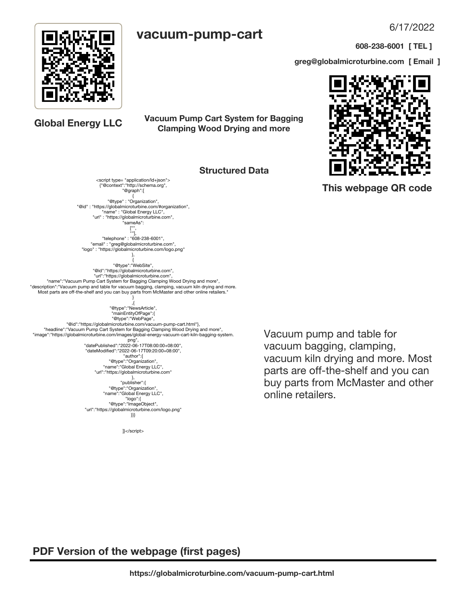6/17/2022

**608-238-6001 [ TEL ]**

**greg@globalmicroturbine.com [ Email ]**



 **PDF Version of the webpage (first pages)**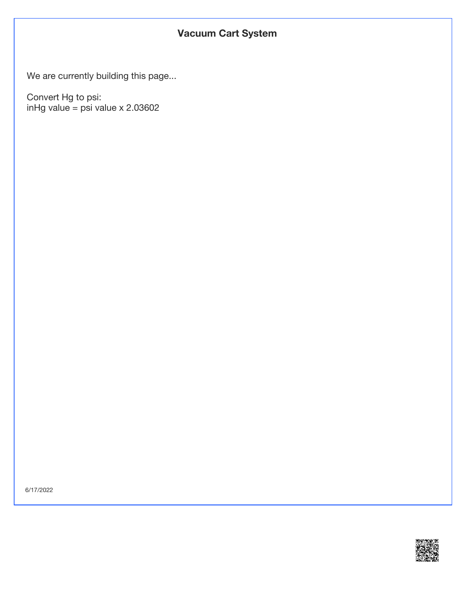## **Vacuum Cart System**

We are currently building this page...

Convert Hg to psi: inHg value = psi value  $\times$  2.03602

6/17/2022

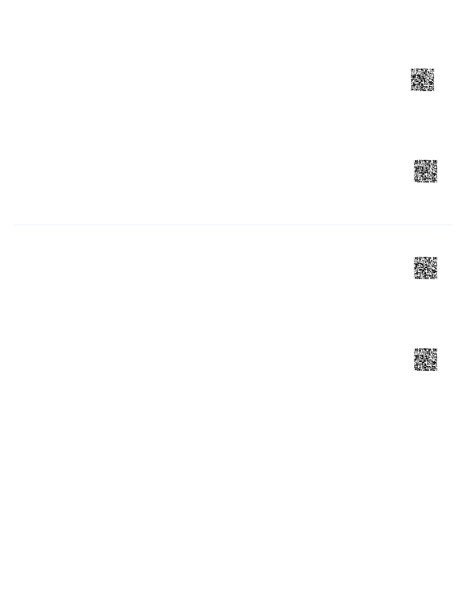





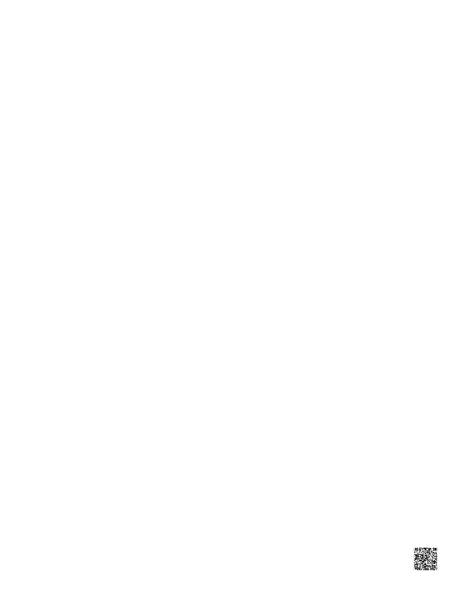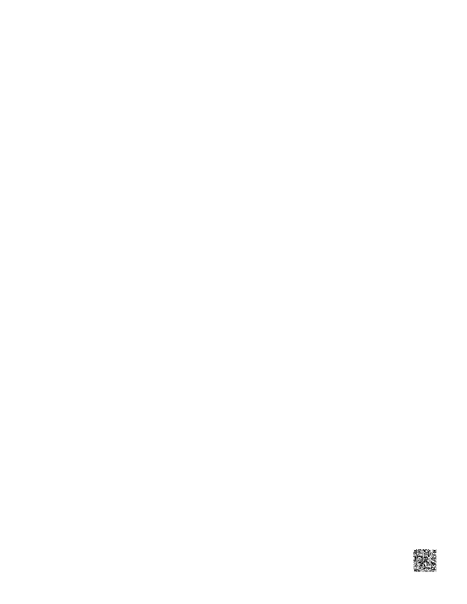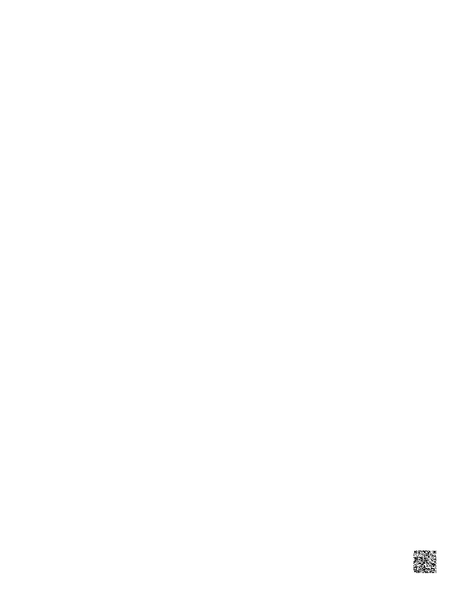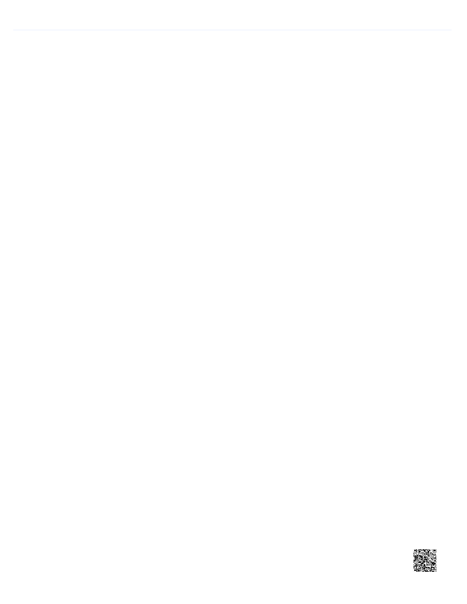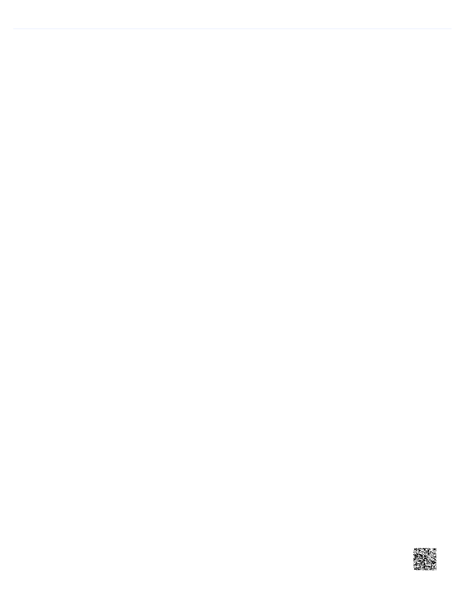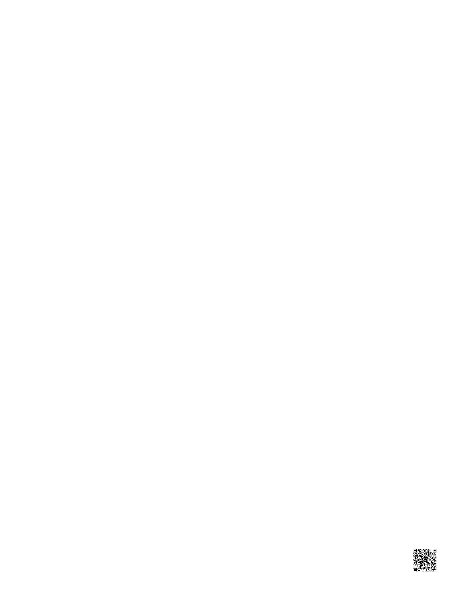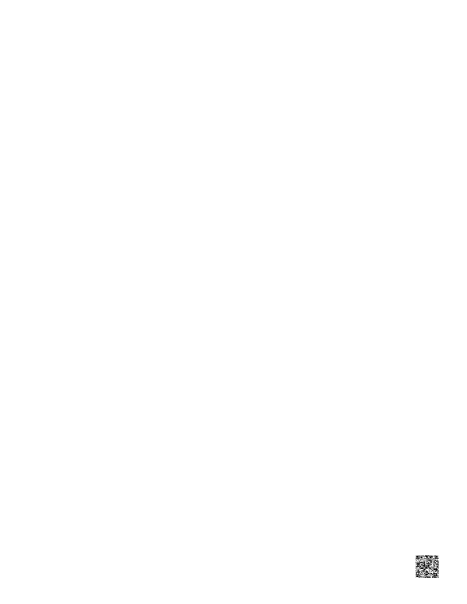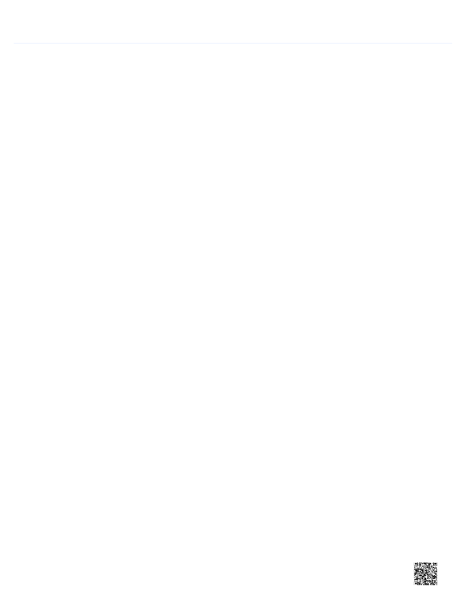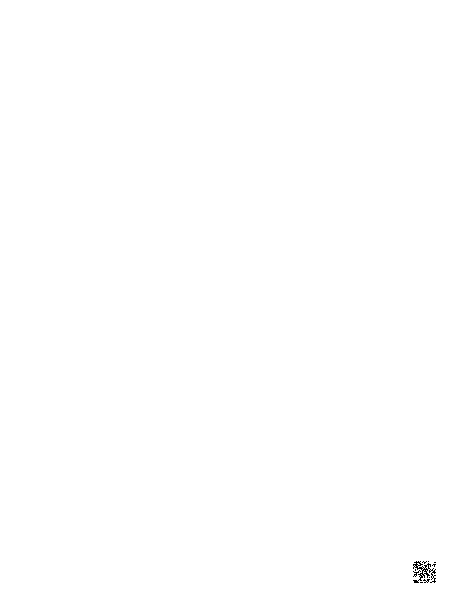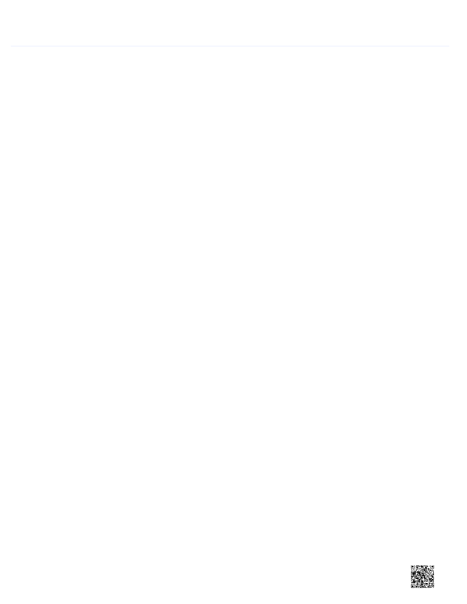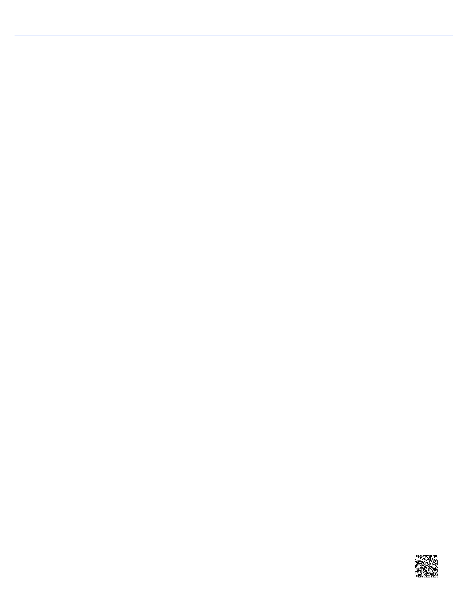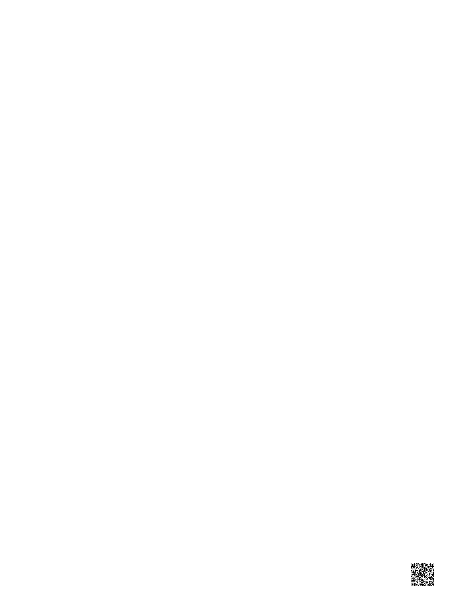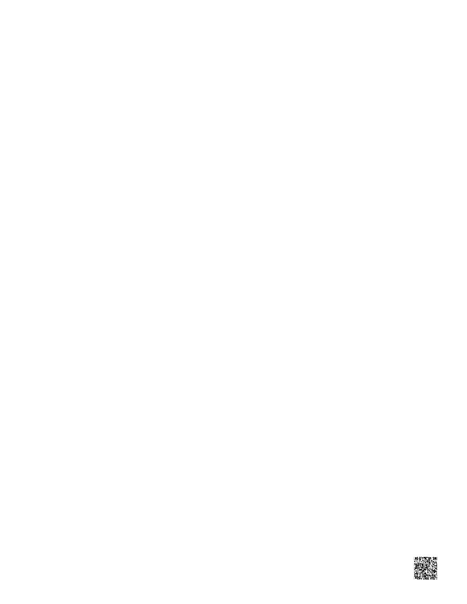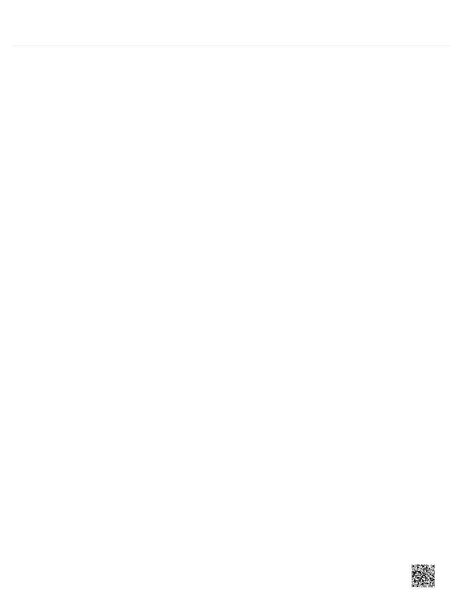